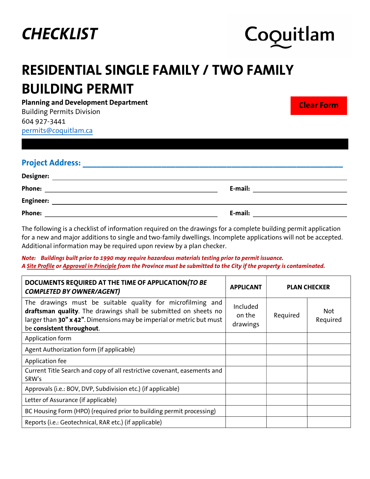



Planning and Development Department

Building Permits Division 604 927-3441 permits@coquitlam.ca

**Clear Form**

| <b>Project Address:</b> |         |
|-------------------------|---------|
| <b>Designer:</b>        |         |
| Phone:                  | E-mail: |
| <b>Engineer:</b>        |         |
| Phone:                  | E-mail: |

The following is a checklist of information required on the drawings for a complete building permit application for a new and major additions to single and two-family dwellings. Incomplete applications will not be accepted. Additional information may be required upon review by a plan checker.

Note: Buildings built prior to 1990 may require hazardous materials testing prior to permit issuance. A Site Profile or Approval in Principle from the Province must be submitted to the City if the property is contaminated.

| DOCUMENTS REQUIRED AT THE TIME OF APPLICATION (TO BE<br><b>COMPLETED BY OWNER/AGENT)</b>                                                                                                                                           | <b>APPLICANT</b>               | <b>PLAN CHECKER</b> |                        |
|------------------------------------------------------------------------------------------------------------------------------------------------------------------------------------------------------------------------------------|--------------------------------|---------------------|------------------------|
| The drawings must be suitable quality for microfilming and<br>draftsman quality. The drawings shall be submitted on sheets no<br>larger than 30" x 42". Dimensions may be imperial or metric but must<br>be consistent throughout. | Included<br>on the<br>drawings | Required            | <b>Not</b><br>Required |
| Application form                                                                                                                                                                                                                   |                                |                     |                        |
| Agent Authorization form (if applicable)                                                                                                                                                                                           |                                |                     |                        |
| Application fee                                                                                                                                                                                                                    |                                |                     |                        |
| Current Title Search and copy of all restrictive covenant, easements and<br>SRW's                                                                                                                                                  |                                |                     |                        |
| Approvals (i.e.: BOV, DVP, Subdivision etc.) (if applicable)                                                                                                                                                                       |                                |                     |                        |
| Letter of Assurance (if applicable)                                                                                                                                                                                                |                                |                     |                        |
| BC Housing Form (HPO) (required prior to building permit processing)                                                                                                                                                               |                                |                     |                        |
| Reports (i.e.: Geotechnical, RAR etc.) (if applicable)                                                                                                                                                                             |                                |                     |                        |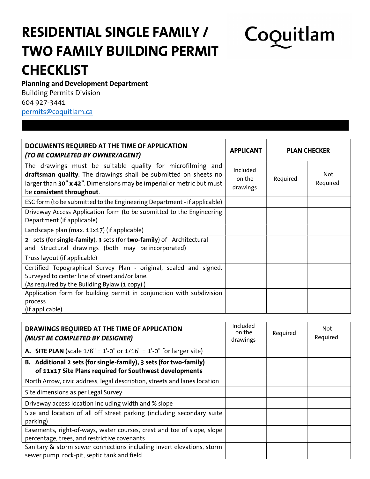# Coquitlam

#### Planning and Development Department

Building Permits Division 604 927-3441 permits@coquitlam.ca

| DOCUMENTS REQUIRED AT THE TIME OF APPLICATION<br>(TO BE COMPLETED BY OWNER/AGENT)                                                                                                                                                  | <b>PLAN CHECKER</b><br><b>APPLICANT</b> |          |                        |
|------------------------------------------------------------------------------------------------------------------------------------------------------------------------------------------------------------------------------------|-----------------------------------------|----------|------------------------|
| The drawings must be suitable quality for microfilming and<br>draftsman quality. The drawings shall be submitted on sheets no<br>larger than 30" x 42". Dimensions may be imperial or metric but must<br>be consistent throughout. | Included<br>on the<br>drawings          | Required | <b>Not</b><br>Required |
| ESC form (to be submitted to the Engineering Department - if applicable)                                                                                                                                                           |                                         |          |                        |
| Driveway Access Application form (to be submitted to the Engineering<br>Department (if applicable)                                                                                                                                 |                                         |          |                        |
| Landscape plan (max. 11x17) (if applicable)                                                                                                                                                                                        |                                         |          |                        |
| 2 sets (for single-family), 3 sets (for two-family) of Architectural<br>and Structural drawings (both may be incorporated)                                                                                                         |                                         |          |                        |
| Truss layout (if applicable)                                                                                                                                                                                                       |                                         |          |                        |
| Certified Topographical Survey Plan - original, sealed and signed.<br>Surveyed to center line of street and/or lane.<br>(As required by the Building Bylaw (1 copy))                                                               |                                         |          |                        |
| Application form for building permit in conjunction with subdivision                                                                                                                                                               |                                         |          |                        |
| process<br>(if applicable)                                                                                                                                                                                                         |                                         |          |                        |

| DRAWINGS REQUIRED AT THE TIME OF APPLICATION<br>(MUST BE COMPLETED BY DESIGNER)                                              | Included<br>on the<br>drawings | Required | Not.<br>Required |
|------------------------------------------------------------------------------------------------------------------------------|--------------------------------|----------|------------------|
| <b>A.</b> SITE PLAN (scale $1/8$ " = $1'-0$ " or $1/16$ " = $1'-0$ " for larger site)                                        |                                |          |                  |
| B. Additional 2 sets (for single-family), 3 sets (for two-family)<br>of 11x17 Site Plans required for Southwest developments |                                |          |                  |
| North Arrow, civic address, legal description, streets and lanes location                                                    |                                |          |                  |
| Site dimensions as per Legal Survey                                                                                          |                                |          |                  |
| Driveway access location including width and % slope                                                                         |                                |          |                  |
| Size and location of all off street parking (including secondary suite<br>parking)                                           |                                |          |                  |
| Easements, right-of-ways, water courses, crest and toe of slope, slope<br>percentage, trees, and restrictive covenants       |                                |          |                  |
| Sanitary & storm sewer connections including invert elevations, storm<br>sewer pump, rock-pit, septic tank and field         |                                |          |                  |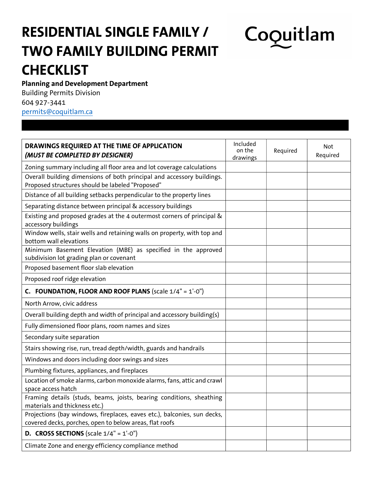# Coquitlam

#### Planning and Development Department

Building Permits Division 604 927-3441 permits@coquitlam.ca

| DRAWINGS REQUIRED AT THE TIME OF APPLICATION<br>(MUST BE COMPLETED BY DESIGNER)                                                     | Included<br>on the<br>drawings | Required | <b>Not</b><br>Required |
|-------------------------------------------------------------------------------------------------------------------------------------|--------------------------------|----------|------------------------|
| Zoning summary including all floor area and lot coverage calculations                                                               |                                |          |                        |
| Overall building dimensions of both principal and accessory buildings.<br>Proposed structures should be labeled "Proposed"          |                                |          |                        |
| Distance of all building setbacks perpendicular to the property lines                                                               |                                |          |                        |
| Separating distance between principal & accessory buildings                                                                         |                                |          |                        |
| Existing and proposed grades at the 4 outermost corners of principal &<br>accessory buildings                                       |                                |          |                        |
| Window wells, stair wells and retaining walls on property, with top and<br>bottom wall elevations                                   |                                |          |                        |
| Minimum Basement Elevation (MBE) as specified in the approved<br>subdivision lot grading plan or covenant                           |                                |          |                        |
| Proposed basement floor slab elevation                                                                                              |                                |          |                        |
| Proposed roof ridge elevation                                                                                                       |                                |          |                        |
| <b>C. FOUNDATION, FLOOR AND ROOF PLANS (scale 1/4" = 1'-0")</b>                                                                     |                                |          |                        |
| North Arrow, civic address                                                                                                          |                                |          |                        |
| Overall building depth and width of principal and accessory building(s)                                                             |                                |          |                        |
| Fully dimensioned floor plans, room names and sizes                                                                                 |                                |          |                        |
| Secondary suite separation                                                                                                          |                                |          |                        |
| Stairs showing rise, run, tread depth/width, guards and handrails                                                                   |                                |          |                        |
| Windows and doors including door swings and sizes                                                                                   |                                |          |                        |
| Plumbing fixtures, appliances, and fireplaces                                                                                       |                                |          |                        |
| Location of smoke alarms, carbon monoxide alarms, fans, attic and crawl<br>space access hatch                                       |                                |          |                        |
| Framing details (studs, beams, joists, bearing conditions, sheathing<br>materials and thickness etc.)                               |                                |          |                        |
| Projections (bay windows, fireplaces, eaves etc.), balconies, sun decks,<br>covered decks, porches, open to below areas, flat roofs |                                |          |                        |
| <b>D. CROSS SECTIONS</b> (scale $1/4" = 1'-0"$ )                                                                                    |                                |          |                        |
| Climate Zone and energy efficiency compliance method                                                                                |                                |          |                        |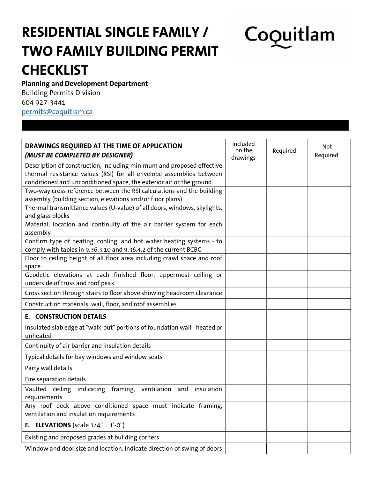# Coquitlam

#### Planning and Development Department

Building Permits Division 604 927-3441 permits@coquitlam.ca

| DRAWINGS REQUIRED AT THE TIME OF APPLICATION<br>(MUST BE COMPLETED BY DESIGNER)                                                                                                                                     | Included<br>on the<br>drawings | Required | Not<br>Required |
|---------------------------------------------------------------------------------------------------------------------------------------------------------------------------------------------------------------------|--------------------------------|----------|-----------------|
| Description of construction, including minimum and proposed effective<br>thermal resistance values (RSI) for all envelope assemblies between<br>conditioned and unconditioned space, the exterior air or the ground |                                |          |                 |
| Two-way cross reference between the RSI calculations and the building<br>assembly (building section, elevations and/or floor plans)                                                                                 |                                |          |                 |
| Thermal transmittance values (U-value) of all doors, windows, skylights,<br>and glass blocks                                                                                                                        |                                |          |                 |
| Material, location and continuity of the air barrier system for each<br>assembly                                                                                                                                    |                                |          |                 |
| Confirm type of heating, cooling, and hot water heating systems - to<br>comply with tables in 9.36.3.10 and 9.36.4.2 of the current BCBC                                                                            |                                |          |                 |
| Floor to ceiling height of all floor area including crawl space and roof<br>space                                                                                                                                   |                                |          |                 |
| Geodetic elevations at each finished floor, uppermost ceiling or<br>underside of truss and roof peak                                                                                                                |                                |          |                 |
| Cross section through stairs to floor above showing headroom clearance                                                                                                                                              |                                |          |                 |
| Construction materials: wall, floor, and roof assemblies                                                                                                                                                            |                                |          |                 |
| <b>E. CONSTRUCTION DETAILS</b>                                                                                                                                                                                      |                                |          |                 |
| Insulated slab edge at "walk-out" portions of foundation wall - heated or<br>unheated                                                                                                                               |                                |          |                 |
| Continuity of air barrier and insulation details                                                                                                                                                                    |                                |          |                 |
| Typical details for bay windows and window seats                                                                                                                                                                    |                                |          |                 |
| Party wall details                                                                                                                                                                                                  |                                |          |                 |
| Fire separation details                                                                                                                                                                                             |                                |          |                 |
| Vaulted ceiling indicating framing, ventilation and insulation<br>requirements                                                                                                                                      |                                |          |                 |
| Any roof deck above conditioned space must indicate framing,<br>ventilation and insulation requirements                                                                                                             |                                |          |                 |
| <b>F.</b> ELEVATIONS (scale $1/4" = 1'-0"$ )                                                                                                                                                                        |                                |          |                 |
| Existing and proposed grades at building corners                                                                                                                                                                    |                                |          |                 |
| Window and door size and location. Indicate direction of swing of doors                                                                                                                                             |                                |          |                 |